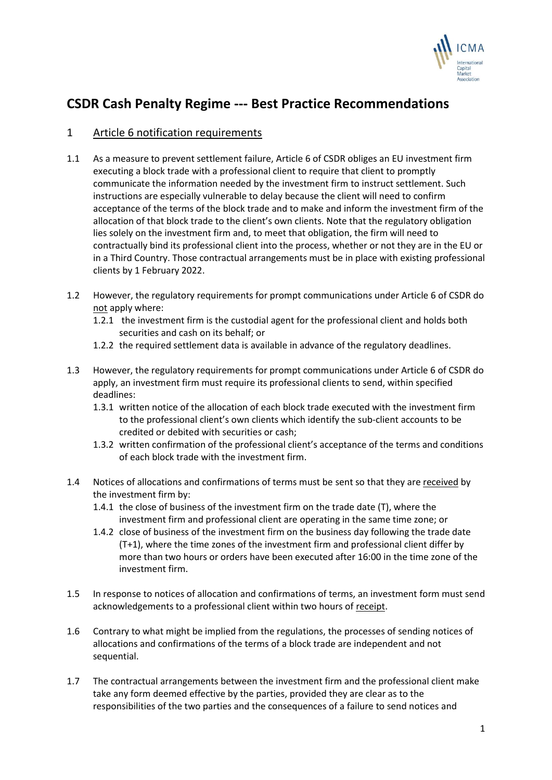

# **CSDR Cash Penalty Regime --- Best Practice Recommendations**

# 1 Article 6 notification requirements

- 1.1 As a measure to prevent settlement failure, Article 6 of CSDR obliges an EU investment firm executing a block trade with a professional client to require that client to promptly communicate the information needed by the investment firm to instruct settlement. Such instructions are especially vulnerable to delay because the client will need to confirm acceptance of the terms of the block trade and to make and inform the investment firm of the allocation of that block trade to the client's own clients. Note that the regulatory obligation lies solely on the investment firm and, to meet that obligation, the firm will need to contractually bind its professional client into the process, whether or not they are in the EU or in a Third Country. Those contractual arrangements must be in place with existing professional clients by 1 February 2022.
- 1.2 However, the regulatory requirements for prompt communications under Article 6 of CSDR do not apply where:
	- 1.2.1 the investment firm is the custodial agent for the professional client and holds both securities and cash on its behalf; or
	- 1.2.2 the required settlement data is available in advance of the regulatory deadlines.
- 1.3 However, the regulatory requirements for prompt communications under Article 6 of CSDR do apply, an investment firm must require its professional clients to send, within specified deadlines:
	- 1.3.1 written notice of the allocation of each block trade executed with the investment firm to the professional client's own clients which identify the sub-client accounts to be credited or debited with securities or cash;
	- 1.3.2 written confirmation of the professional client's acceptance of the terms and conditions of each block trade with the investment firm.
- 1.4 Notices of allocations and confirmations of terms must be sent so that they are received by the investment firm by:
	- 1.4.1 the close of business of the investment firm on the trade date (T), where the investment firm and professional client are operating in the same time zone; or
	- 1.4.2 close of business of the investment firm on the business day following the trade date (T+1), where the time zones of the investment firm and professional client differ by more than two hours or orders have been executed after 16:00 in the time zone of the investment firm.
- 1.5 In response to notices of allocation and confirmations of terms, an investment form must send acknowledgements to a professional client within two hours of receipt.
- 1.6 Contrary to what might be implied from the regulations, the processes of sending notices of allocations and confirmations of the terms of a block trade are independent and not sequential.
- 1.7 The contractual arrangements between the investment firm and the professional client make take any form deemed effective by the parties, provided they are clear as to the responsibilities of the two parties and the consequences of a failure to send notices and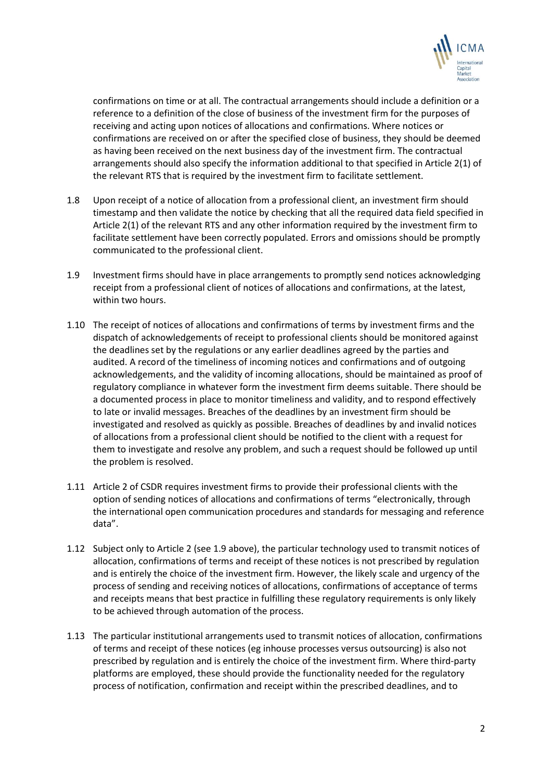

confirmations on time or at all. The contractual arrangements should include a definition or a reference to a definition of the close of business of the investment firm for the purposes of receiving and acting upon notices of allocations and confirmations. Where notices or confirmations are received on or after the specified close of business, they should be deemed as having been received on the next business day of the investment firm. The contractual arrangements should also specify the information additional to that specified in Article 2(1) of the relevant RTS that is required by the investment firm to facilitate settlement.

- 1.8 Upon receipt of a notice of allocation from a professional client, an investment firm should timestamp and then validate the notice by checking that all the required data field specified in Article 2(1) of the relevant RTS and any other information required by the investment firm to facilitate settlement have been correctly populated. Errors and omissions should be promptly communicated to the professional client.
- 1.9 Investment firms should have in place arrangements to promptly send notices acknowledging receipt from a professional client of notices of allocations and confirmations, at the latest, within two hours.
- 1.10 The receipt of notices of allocations and confirmations of terms by investment firms and the dispatch of acknowledgements of receipt to professional clients should be monitored against the deadlines set by the regulations or any earlier deadlines agreed by the parties and audited. A record of the timeliness of incoming notices and confirmations and of outgoing acknowledgements, and the validity of incoming allocations, should be maintained as proof of regulatory compliance in whatever form the investment firm deems suitable. There should be a documented process in place to monitor timeliness and validity, and to respond effectively to late or invalid messages. Breaches of the deadlines by an investment firm should be investigated and resolved as quickly as possible. Breaches of deadlines by and invalid notices of allocations from a professional client should be notified to the client with a request for them to investigate and resolve any problem, and such a request should be followed up until the problem is resolved.
- 1.11 Article 2 of CSDR requires investment firms to provide their professional clients with the option of sending notices of allocations and confirmations of terms "electronically, through the international open communication procedures and standards for messaging and reference data".
- 1.12 Subject only to Article 2 (see 1.9 above), the particular technology used to transmit notices of allocation, confirmations of terms and receipt of these notices is not prescribed by regulation and is entirely the choice of the investment firm. However, the likely scale and urgency of the process of sending and receiving notices of allocations, confirmations of acceptance of terms and receipts means that best practice in fulfilling these regulatory requirements is only likely to be achieved through automation of the process.
- 1.13 The particular institutional arrangements used to transmit notices of allocation, confirmations of terms and receipt of these notices (eg inhouse processes versus outsourcing) is also not prescribed by regulation and is entirely the choice of the investment firm. Where third-party platforms are employed, these should provide the functionality needed for the regulatory process of notification, confirmation and receipt within the prescribed deadlines, and to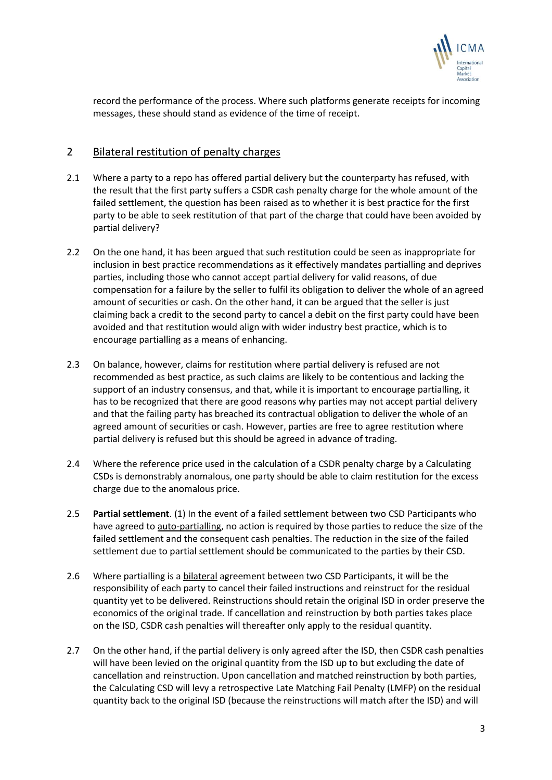

record the performance of the process. Where such platforms generate receipts for incoming messages, these should stand as evidence of the time of receipt.

### 2 Bilateral restitution of penalty charges

- 2.1 Where a party to a repo has offered partial delivery but the counterparty has refused, with the result that the first party suffers a CSDR cash penalty charge for the whole amount of the failed settlement, the question has been raised as to whether it is best practice for the first party to be able to seek restitution of that part of the charge that could have been avoided by partial delivery?
- 2.2 On the one hand, it has been argued that such restitution could be seen as inappropriate for inclusion in best practice recommendations as it effectively mandates partialling and deprives parties, including those who cannot accept partial delivery for valid reasons, of due compensation for a failure by the seller to fulfil its obligation to deliver the whole of an agreed amount of securities or cash. On the other hand, it can be argued that the seller is just claiming back a credit to the second party to cancel a debit on the first party could have been avoided and that restitution would align with wider industry best practice, which is to encourage partialling as a means of enhancing.
- 2.3 On balance, however, claims for restitution where partial delivery is refused are not recommended as best practice, as such claims are likely to be contentious and lacking the support of an industry consensus, and that, while it is important to encourage partialling, it has to be recognized that there are good reasons why parties may not accept partial delivery and that the failing party has breached its contractual obligation to deliver the whole of an agreed amount of securities or cash. However, parties are free to agree restitution where partial delivery is refused but this should be agreed in advance of trading.
- 2.4 Where the reference price used in the calculation of a CSDR penalty charge by a Calculating CSDs is demonstrably anomalous, one party should be able to claim restitution for the excess charge due to the anomalous price.
- 2.5 **Partial settlement**. (1) In the event of a failed settlement between two CSD Participants who have agreed to auto-partialling, no action is required by those parties to reduce the size of the failed settlement and the consequent cash penalties. The reduction in the size of the failed settlement due to partial settlement should be communicated to the parties by their CSD.
- 2.6 Where partialling is a bilateral agreement between two CSD Participants, it will be the responsibility of each party to cancel their failed instructions and reinstruct for the residual quantity yet to be delivered. Reinstructions should retain the original ISD in order preserve the economics of the original trade. If cancellation and reinstruction by both parties takes place on the ISD, CSDR cash penalties will thereafter only apply to the residual quantity.
- 2.7 On the other hand, if the partial delivery is only agreed after the ISD, then CSDR cash penalties will have been levied on the original quantity from the ISD up to but excluding the date of cancellation and reinstruction. Upon cancellation and matched reinstruction by both parties, the Calculating CSD will levy a retrospective Late Matching Fail Penalty (LMFP) on the residual quantity back to the original ISD (because the reinstructions will match after the ISD) and will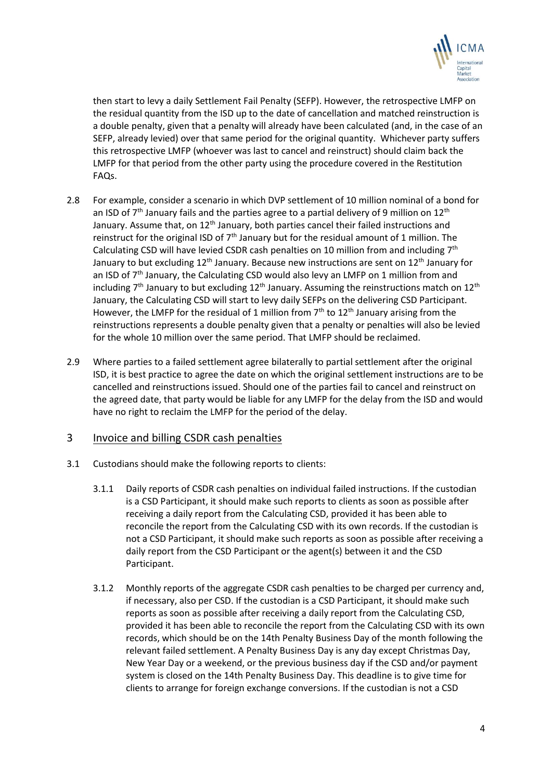

then start to levy a daily Settlement Fail Penalty (SEFP). However, the retrospective LMFP on the residual quantity from the ISD up to the date of cancellation and matched reinstruction is a double penalty, given that a penalty will already have been calculated (and, in the case of an SEFP, already levied) over that same period for the original quantity. Whichever party suffers this retrospective LMFP (whoever was last to cancel and reinstruct) should claim back the LMFP for that period from the other party using the procedure covered in the Restitution FAQs.

- 2.8 For example, consider a scenario in which DVP settlement of 10 million nominal of a bond for an ISD of  $7<sup>th</sup>$  January fails and the parties agree to a partial delivery of 9 million on 12<sup>th</sup> January. Assume that, on  $12<sup>th</sup>$  January, both parties cancel their failed instructions and reinstruct for the original ISD of  $7<sup>th</sup>$  January but for the residual amount of 1 million. The Calculating CSD will have levied CSDR cash penalties on 10 million from and including  $7<sup>th</sup>$ January to but excluding 12<sup>th</sup> January. Because new instructions are sent on 12<sup>th</sup> January for an ISD of  $7<sup>th</sup>$  January, the Calculating CSD would also levy an LMFP on 1 million from and including  $7<sup>th</sup>$  January to but excluding  $12<sup>th</sup>$  January. Assuming the reinstructions match on  $12<sup>th</sup>$ January, the Calculating CSD will start to levy daily SEFPs on the delivering CSD Participant. However, the LMFP for the residual of 1 million from  $7<sup>th</sup>$  to 12<sup>th</sup> January arising from the reinstructions represents a double penalty given that a penalty or penalties will also be levied for the whole 10 million over the same period. That LMFP should be reclaimed.
- 2.9 Where parties to a failed settlement agree bilaterally to partial settlement after the original ISD, it is best practice to agree the date on which the original settlement instructions are to be cancelled and reinstructions issued. Should one of the parties fail to cancel and reinstruct on the agreed date, that party would be liable for any LMFP for the delay from the ISD and would have no right to reclaim the LMFP for the period of the delay.

# 3 Invoice and billing CSDR cash penalties

- 3.1 Custodians should make the following reports to clients:
	- 3.1.1 Daily reports of CSDR cash penalties on individual failed instructions. If the custodian is a CSD Participant, it should make such reports to clients as soon as possible after receiving a daily report from the Calculating CSD, provided it has been able to reconcile the report from the Calculating CSD with its own records. If the custodian is not a CSD Participant, it should make such reports as soon as possible after receiving a daily report from the CSD Participant or the agent(s) between it and the CSD Participant.
	- 3.1.2 Monthly reports of the aggregate CSDR cash penalties to be charged per currency and, if necessary, also per CSD. If the custodian is a CSD Participant, it should make such reports as soon as possible after receiving a daily report from the Calculating CSD, provided it has been able to reconcile the report from the Calculating CSD with its own records, which should be on the 14th Penalty Business Day of the month following the relevant failed settlement. A Penalty Business Day is any day except Christmas Day, New Year Day or a weekend, or the previous business day if the CSD and/or payment system is closed on the 14th Penalty Business Day. This deadline is to give time for clients to arrange for foreign exchange conversions. If the custodian is not a CSD